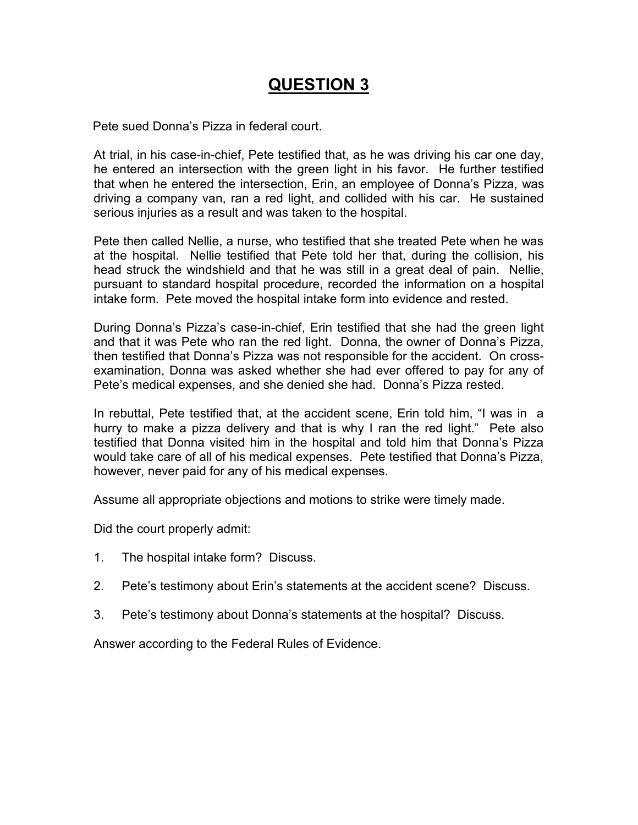# **QUESTION 3**

Pete sued Donna's Pizza in federal court.

At trial, in his case-in-chief, Pete testified that, as he was driving his car one day, he entered an intersection with the green light in his favor. He further testified that when he entered the intersection, Erin, an employee of Donna's Pizza, was driving a company van, ran a red light, and collided with his car. He sustained serious injuries as a result and was taken to the hospital.

Pete then called Nellie, a nurse, who testified that she treated Pete when he was at the hospital. Nellie testified that Pete told her that, during the collision, his head struck the windshield and that he was still in a great deal of pain. Nellie, pursuant to standard hospital procedure, recorded the information on a hospital intake form. Pete moved the hospital intake form into evidence and rested.

During Donna's Pizza's case-in-chief, Erin testified that she had the green light and that it was Pete who ran the red light. Donna, the owner of Donna's Pizza, then testified that Donna's Pizza was not responsible for the accident. On crossexamination, Donna was asked whether she had ever offered to pay for any of Pete's medical expenses, and she denied she had. Donna's Pizza rested.

In rebuttal, Pete testified that, at the accident scene, Erin told him, "I was in a hurry to make a pizza delivery and that is why I ran the red light." Pete also testified that Donna visited him in the hospital and told him that Donna's Pizza would take care of all of his medical expenses. Pete testified that Donna's Pizza, however, never paid for any of his medical expenses.

Assume all appropriate objections and motions to strike were timely made.

Did the court properly admit:

- 1. The hospital intake form? Discuss.
- 2. Pete's testimony about Erin's statements at the accident scene? Discuss.
- 3. Pete's testimony about Donna's statements at the hospital? Discuss.

Answer according to the Federal Rules of Evidence.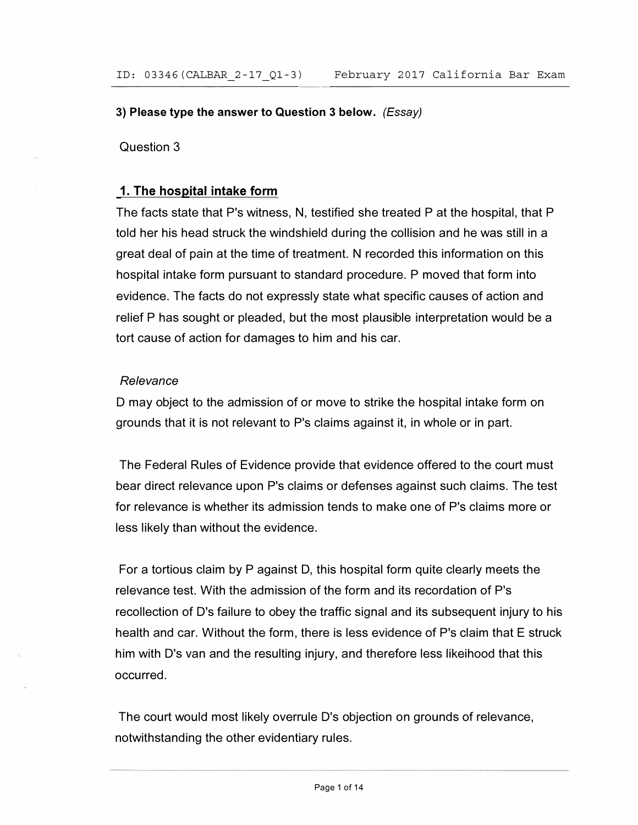## **3) Please type the answer to Question 3 below.** *(Essay)*

Question 3

# **1. The hospital intake form**

The facts state that P's witness, N, testified she treated P at the hospital, that P told her his head struck the windshield during the collision and he was still in a great deal of pain at the time of treatment. N recorded this information on this hospital intake form pursuant to standard procedure. P moved that form into evidence. The facts do not expressly state what specific causes of action and relief P has sought or pleaded, but the most plausible interpretation would be a tort cause of action for damages to him and his car.

## *Relevance*

D may object to the admission of or move to strike the hospital intake form on grounds that it is not relevant to P's claims against it, in whole or in part.

The Federal Rules of Evidence provide that evidence offered to the court must bear direct relevance upon P's claims or defenses against such claims. The test for relevance is whether its admission tends to make one of P's claims more or less likely than without the evidence.

For a tortious claim by P against D, this hospital form quite clearly meets the relevance test. With the admission of the form and its recordation of P's recollection of D's failure to obey the traffic signal and its subsequent injury to his health and car. Without the form, there is less evidence of P's claim that E struck him with D's van and the resulting injury, and therefore less likeihood that this occurred.

The court would most likely overrule D's objection on grounds of relevance, notwithstanding the other evidentiary rules.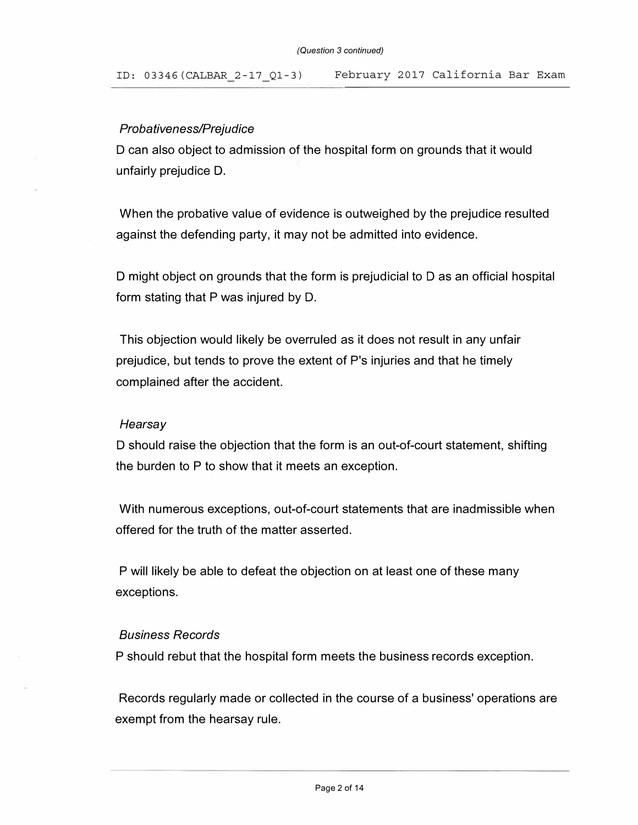# *Probativeness/Prejudice*

D can also object to admission of the hospital form on grounds that it would unfairly prejudice D.

When the probative value of evidence is outweighed by the prejudice resulted against the defending party, it may not be admitted into evidence.

D might object on grounds that the form is prejudicial to D as an official hospital form stating that P was injured by D.

This objection would likely be overruled as it does not result in any unfair prejudice, but tends to prove the extent of P's injuries and that he timely complained after the accident.

### *Hearsay*

D should raise the objection that the form is an out-of-court statement, shifting the burden to P to show that it meets an exception.

With numerous exceptions, out-of-court statements that are inadmissible when offered for the truth of the matter asserted.

P will likely be able to defeat the objection on at least one of these many exceptions.

#### *Business Records*

P should rebut that the hospital form meets the business records exception.

Records regularly made or collected in the course of a business' operations are exempt from the hearsay rule.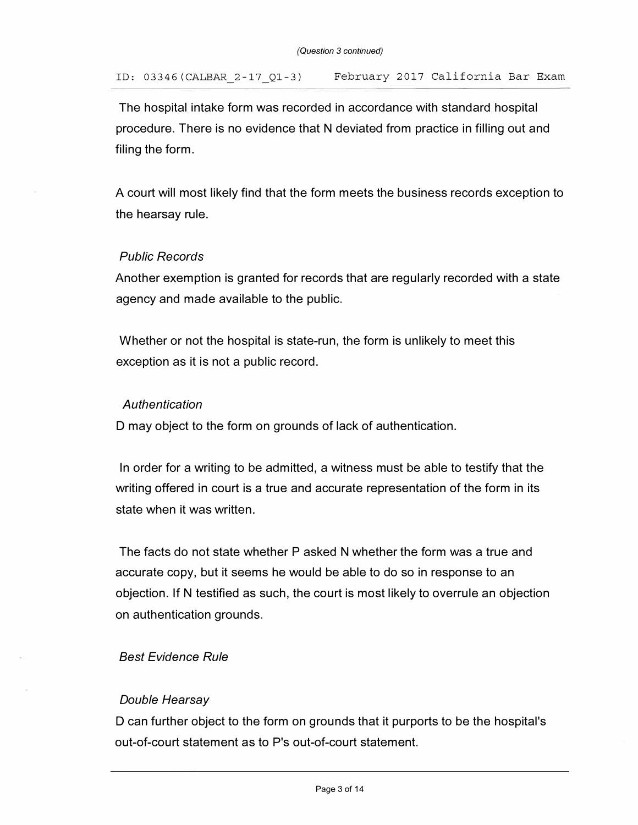**The hospital intake form was recorded in accordance with standard hospital procedure. There is no evidence that N deviated from practice in filling out and filing the form.** 

**A court will most likely find that the form meets the business records exception to the hearsay rule.** 

## *Public Records*

**Another exemption is granted for records that are regularly recorded with a state agency and made available to the public.** 

**Whether or not the hospital is state-run, the form is unlikely to meet this exception as it is not a public record.** 

## *Authentication*

**D may object to the form on grounds of lack of authentication.** 

**In order for a writing to be admitted, a witness must be able to testify that the writing offered in court is a true and accurate representation of the form in its state when it was written.** 

**The facts do not state whether P asked N whether the form was a true and accurate copy, but it seems he would be able to do so in response to an objection. If N testified as such, the court is most likely to overrule an objection on authentication grounds.** 

# *Best Evidence Rule*

# *Double Hearsay*

**D can further object to the form on grounds that it purports to be the hospital's out-of-court statement as to P's out-of-court statement.**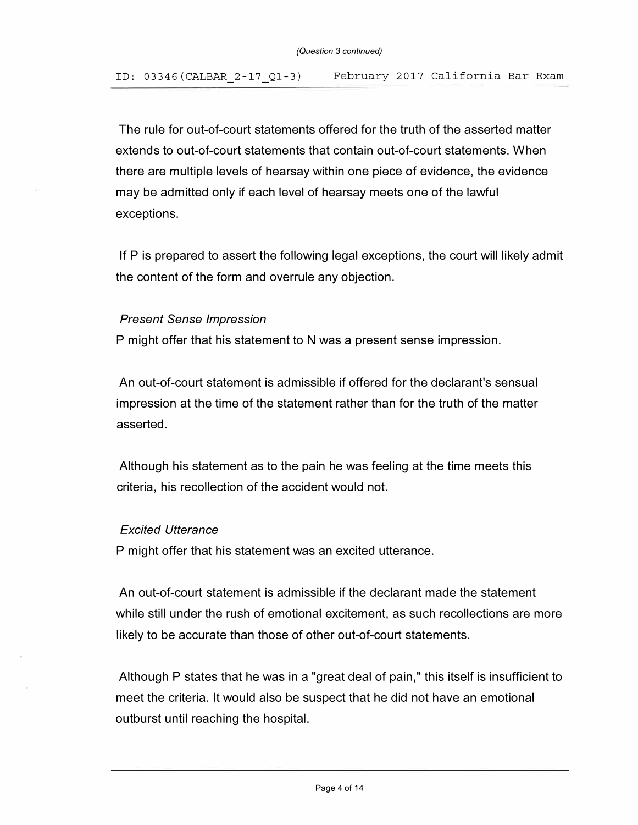The rule for out-of-court statements offered for the truth of the asserted matter extends to out-of-court statements that contain out-of-court statements. When there are multiple levels of hearsay within one piece of evidence, the evidence may be admitted only if each level of hearsay meets one of the lawful exceptions.

If P is prepared to assert the following legal exceptions, the court will likely admit the content of the form and overrule any objection.

### *Present Sense Impression*

P might offer that his statement to N was a present sense impression.

An out-of-court statement is admissible if offered for the declarant's sensual impression at the time of the statement rather than for the truth of the matter asserted.

Although his statement as to the pain he was feeling at the time meets this criteria, his recollection of the accident would not.

#### *Excited Utterance*

P might offer that his statement was an excited utterance.

An out-of-court statement is admissible if the declarant made the statement while still under the rush of emotional excitement, as such recollections are more likely to be accurate than those of other out-of-court statements.

Although P states that he was in a "great deal of pain," this itself is insufficient to meet the criteria. It would also be suspect that he did not have an emotional outburst until reaching the hospital.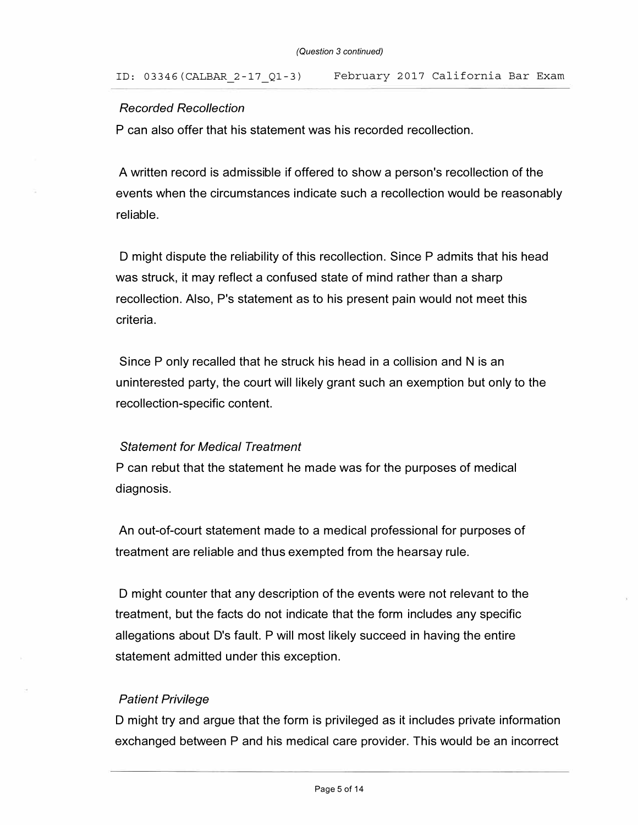## *Recorded Recollection*

P can also offer that his statement was his recorded recollection.

A written record is admissible if offered to show a person's recollection of the events when the circumstances indicate such a recollection would be reasonably reliable.

D might dispute the reliability of this recollection. Since P admits that his head was struck, it may reflect a confused state of mind rather than a sharp recollection. Also, P's statement as to his present pain would not meet this criteria.

Since P only recalled that he struck his head in a collision and N is an uninterested party, the court will likely grant such an exemption but only to the recollection-specific content.

#### *Statement for Medical Treatment*

P can rebut that the statement he made was for the purposes of medical diagnosis.

An out-of-court statement made to a medical professional for purposes of treatment are reliable and thus exempted from the hearsay rule.

D might counter that any description of the events were not relevant to the treatment, but the facts do not indicate that the form includes any specific allegations about D's fault. P will most likely succeed in having the entire statement admitted under this exception.

### *Patient Privilege*

D might try and argue that the form is privileged as it includes private information exchanged between P and his medical care provider. This would be an incorrect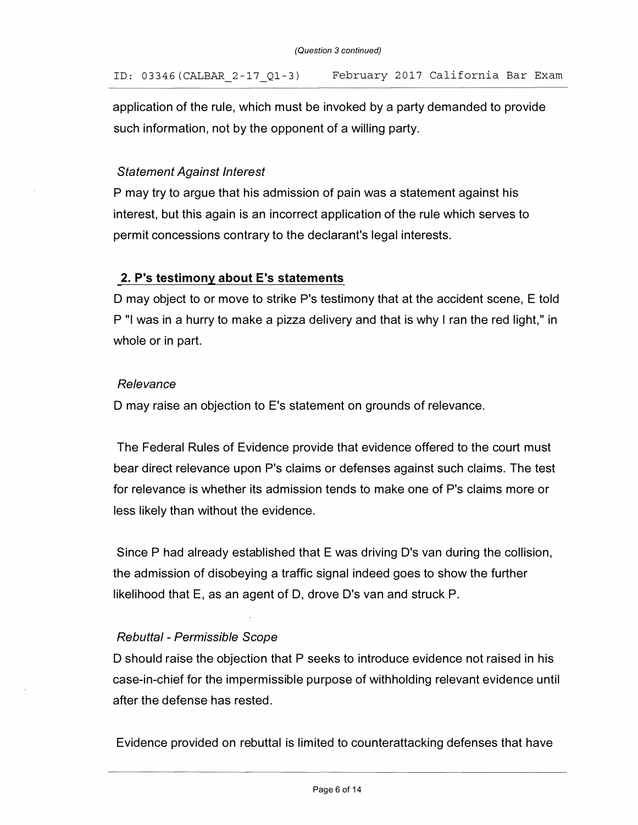application of the rule, which must be invoked by a party demanded to provide such information, not by the opponent of a willing party.

# *Statement Against Interest*

P may try to argue that his admission of pain was a statement against his interest, but this again is an incorrect application of the rule which serves to permit concessions contrary to the declarant's legal interests.

# **2. P's testimony about E's statements**

D may object to or move to strike P's testimony that at the accident scene, E told P "I was in a hurry to make a pizza delivery and that is why I ran the red light," in whole or in part.

## *Relevance*

D may raise an objection to E's statement on grounds of relevance.

The Federal Rules of Evidence provide that evidence offered to the court must bear direct relevance upon P's claims or defenses against such claims. The test for relevance is whether its admission tends to make one of P's claims more or less likely than without the evidence.

Since P had already established that E was driving D's van during the collision, the admission of disobeying a traffic signal indeed goes to show the further likelihood that E, as an agent of D, drove D's van and struck P.

# *Rebuttal* - *Permissible Scope*

D should raise the objection that P seeks to introduce evidence not raised in his case-in-chief for the impermissible purpose of withholding relevant evidence until after the defense has rested.

Evidence provided on rebuttal is limited to counterattacking defenses that have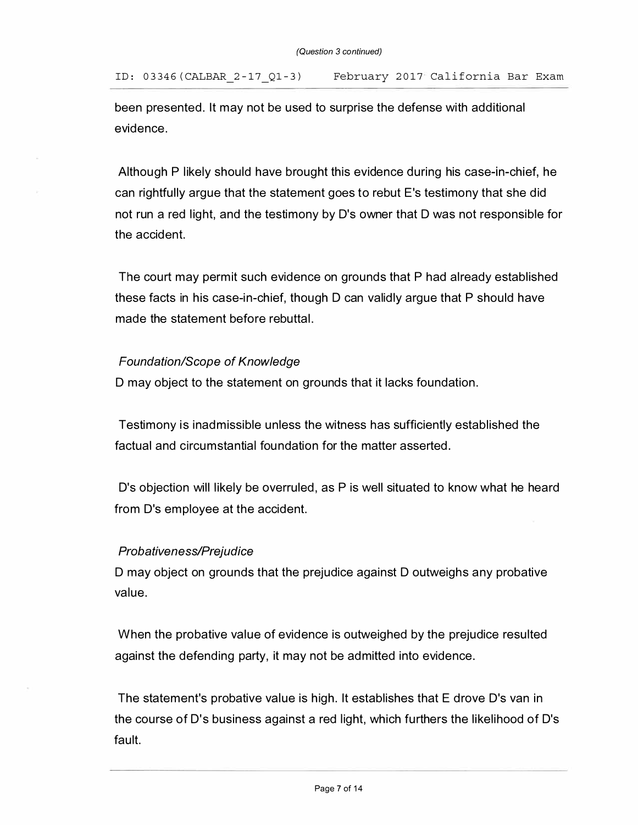been presented. It may not be used to surprise the defense with additional evidence.

Although P likely should have brought this evidence during his case-in-chief, he can rightfully argue that the statement goes to rebut E's testimony that she did not run a red light, and the testimony by D's owner that D was not responsible for the accident.

The court may permit such evidence on grounds that P had already established these facts in his case-in-chief, though D can validly argue that P should have made the statement before rebuttal.

## *Foundation/Scope of Knowledge*

D may object to the statement on grounds that it lacks foundation.

Testimony is inadmissible unless the witness has sufficiently established the factual and circumstantial foundation for the matter asserted.

D's objection will likely be overruled, as P is well situated to know what he heard from D's employee at the accident.

### *Probativeness/Prejudice*

D may object on grounds that the prejudice against D outweighs any probative value.

When the probative value of evidence is outweighed by the prejudice resulted against the defending party, it may not be admitted into evidence.

The statement's probative value is high. It establishes that E drove D's van in the course of D's business against a red light, which furthers the likelihood of D's fault.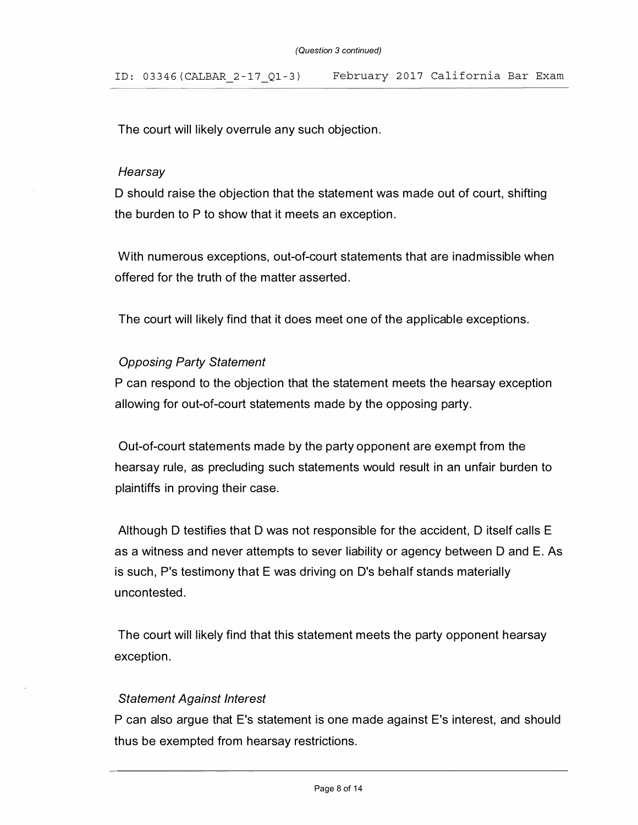The court will likely overrule any such objection.

#### *Hearsay*

D should raise the objection that the statement was made out of court, shifting the burden to P to show that it meets an exception.

With numerous exceptions, out-of-court statements that are inadmissible when offered for the truth of the matter asserted.

The court will likely find that it does meet one of the applicable exceptions.

## *Opposing Party Statement*

P can respond to the objection that the statement meets the hearsay exception allowing for out-of-court statements made by the opposing party.

Out-of-court statements made by the party opponent are exempt from the hearsay rule, as precluding such statements would result in an unfair burden to plaintiffs in proving their case.

Although D testifies that D was not responsible for the accident, D itself calls E as a witness and never attempts to sever liability or agency between D and E. As is such, P's testimony that E was driving on D's behalf stands materially uncontested.

The court will likely find that this statement meets the party opponent hearsay exception.

### *Statement Against Interest*

P can also argue that E's statement is one made against E's interest, and should thus be exempted from hearsay restrictions.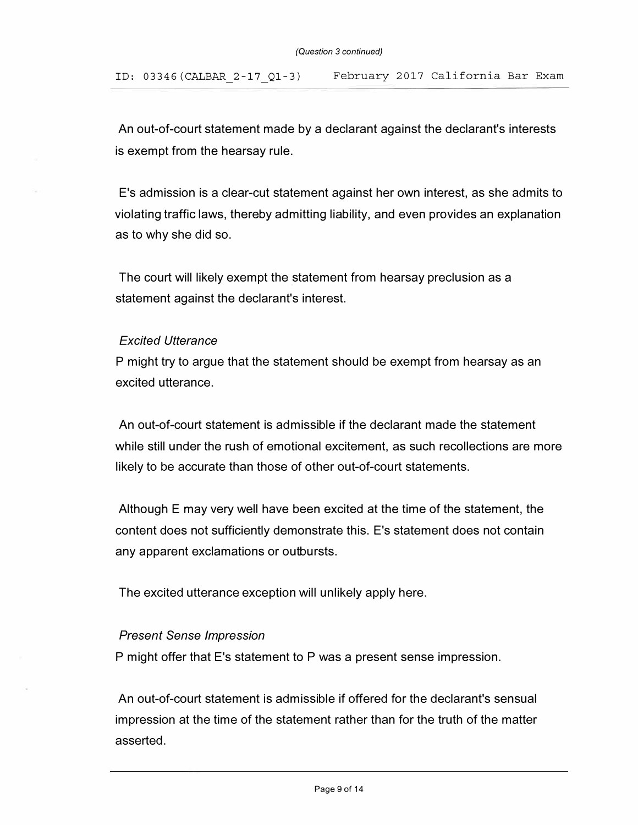An out-of-court statement made by a declarant against the declarant's interests is exempt from the hearsay rule.

E 's admission is a clear-cut statement against her own interest, as she admits to violating traffic laws, thereby admitting liability, and even provides an explanation as to why she did so.

The court will likely exempt the statement from hearsay preclusion as a statement against the declarant's interest.

## *Excited Utterance*

P might try to argue that the statement should be exempt from hearsay as an excited utterance.

An out-of-court statement is admissible if the declarant made the statement while still under the rush of emotional excitement, as such recollections are more likely to be accurate than those of other out-of-court statements.

Although E may very well have been excited at the time of the statement, the content does not sufficiently demonstrate this. E 's statement does not contain any apparent exclamations or outbursts.

The excited utterance exception will unlikely apply here.

### *Present Sense Impression*

P might offer that E's statement to P was a present sense impression.

An out-of-court statement is admissible if offered for the declarant's sensual impression at the time of the statement rather than for the truth of the matter asserted.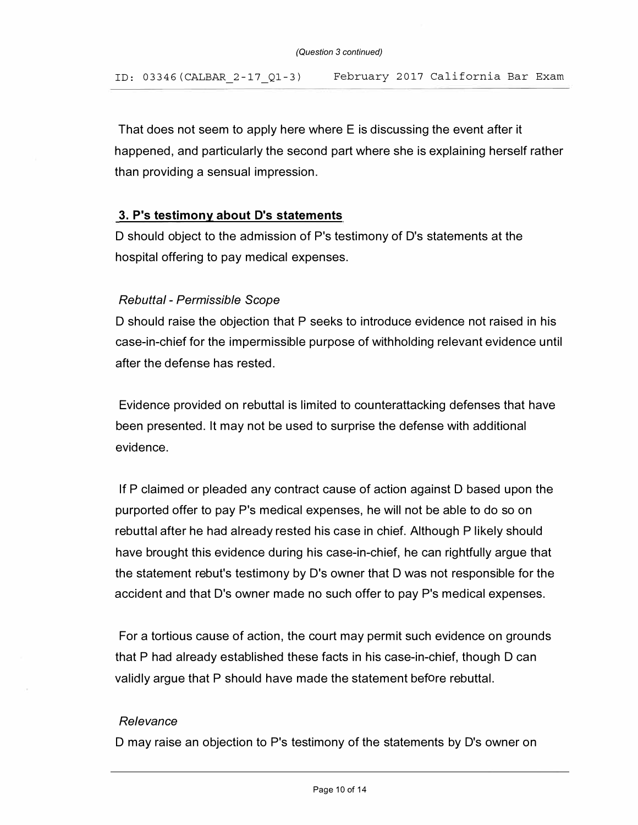That does not seem to apply here where E is discussing the event after it happened, and particularly the second part where she is explaining herself rather than providing a sensual impression.

# **3. P's testimony about D's statements**

D should object to the admission of P's testimony of D's statements at the hospital offering to pay medical expenses.

# *Rebuttal* - *Permissible Scope*

D should raise the objection that P seeks to introduce evidence not raised in his case-in-chief for the impermissible purpose of withholding relevant evidence until after the defense has rested.

Evidence provided on rebuttal is limited to counterattacking defenses that have been presented. It may not be used to surprise the defense with additional evidence.

If P claimed or pleaded any contract cause of action against D based upon the purported offer to pay P's medical expenses, he will not be able to do so on rebuttal after he had already rested his case in chief. Although P likely should have brought this evidence during his case-in-chief, he can rightfully argue that the statement rebut's testimony by D's owner that D was not responsible for the accident and that D's owner made no such offer to pay P's medical expenses.

For a tortious cause of action, the court may permit such evidence on grounds that P had already established these facts in his case-in-chief, though D can validly argue that P should have made the statement before rebuttal.

### *Relevance*

D may raise an objection to P's testimony of the statements by D's owner on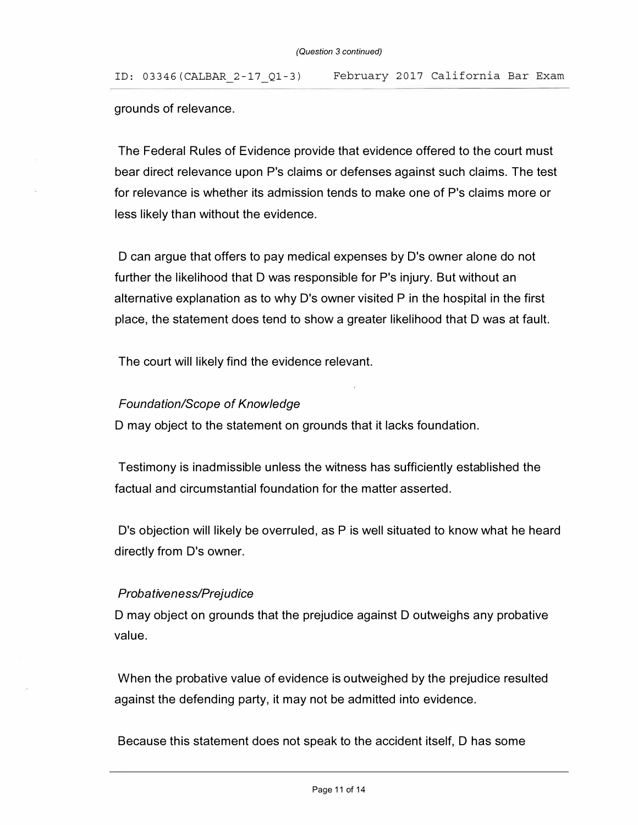grounds of relevance.

The Federal Rules of Evidence provide that evidence offered to the court must bear direct relevance upon P's claims or defenses against such claims. The test for relevance is whether its admission tends to make one of P's claims more or less likely than without the evidence.

D can argue that offers to pay medical expenses by D's owner alone do not further the likelihood that D was responsible for P's injury. But without an alternative explanation as to why  $D$ 's owner visited  $P$  in the hospital in the first place, the statement does tend to show a greater likelihood that D was at fault.

The court will likely find the evidence relevant.

# *Foundation/Scope of Knowledge*

D may object to the statement on grounds that it lacks foundation.

Testimony is inadmissible unless the witness has sufficiently established the factual and circumstantial foundation for the matter asserted.

D's objection will likely be overruled, as P is well situated to know what he heard directly from D's owner.

# *Probativeness/Prejudice*

D may object on grounds that the prejudice against D outweighs any probative value.

When the probative value of evidence is outweighed by the prejudice resulted against the defending party, it may not be admitted into evidence.

Because this statement does not speak to the accident itself, D has some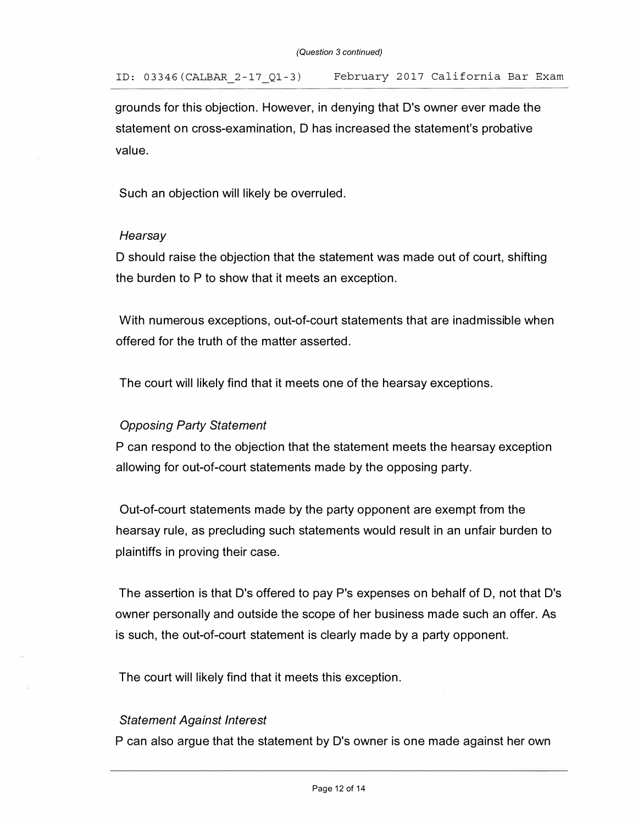grounds for this objection. However, in denying that D's owner ever made the statement on cross-examination, D has increased the statement's probative value.

Such an objection will likely be overruled.

### *Hearsay*

D should raise the objection that the statement was made out of court, shifting the burden to P to show that it meets an exception.

With numerous exceptions, out-of-court statements that are inadmissible when offered for the truth of the matter asserted.

The court will likely find that it meets one of the hearsay exceptions.

# *Opposing Party Statement*

P can respond to the objection that the statement meets the hearsay exception allowing for out-of-court statements made by the opposing party.

Out-of-court statements made by the party opponent are exempt from the hearsay rule, as precluding such statements would result in an unfair burden to plaintiffs in proving their case.

The assertion is that D's offered to pay P's expenses on behalf of D, not that D's owner personally and outside the scope of her business made such an offer. As is such, the out-of-court statement is clearly made by a party opponent.

The court will likely find that it meets this exception.

# *Statement Against Interest*

P can also argue that the statement by D's owner is one made against her own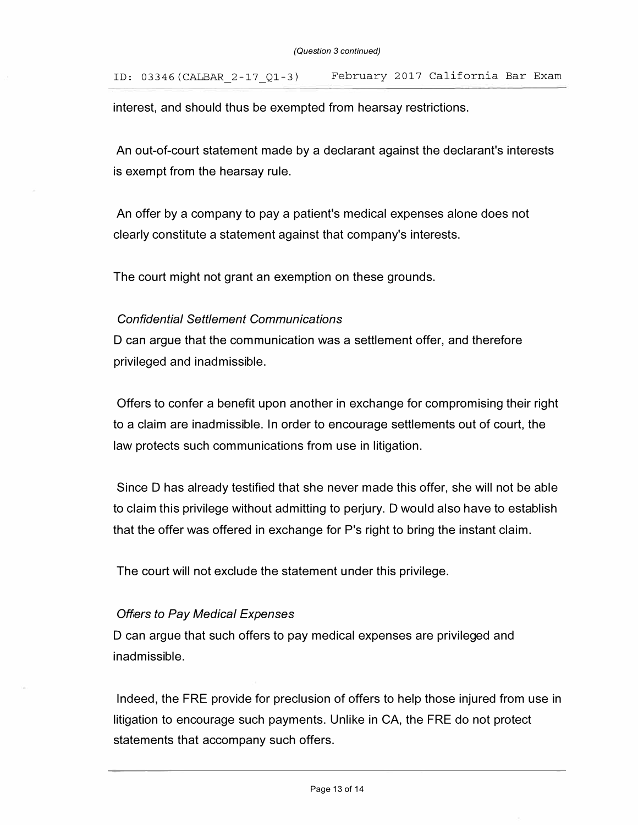interest, and should thus be exempted from hearsay restrictions.

An out-of-court statement made by a declarant against the declarant's interests is exempt from the hearsay rule.

An offer by a company to pay a patient's medical expenses alone does not clearly constitute a statement against that company's interests.

The court might not grant an exemption on these grounds.

## *Confidential Settlement Communications*

D can argue that the communication was a settlement offer, and therefore privileged and inadmissible.

Offers to confer a benefit upon another in exchange for compromising their right to a claim are inadmissible. In order to encourage settlements out of court, the law protects such communications from use in litigation.

Since D has already testified that she never made this offer, she will not be able to claim this privilege without admitting to perjury. D would also have to establish that the offer was offered in exchange for P's right to bring the instant claim.

The court will not exclude the statement under this privilege.

# *Offers to Pay Medical Expenses*

D can argue that such offers to pay medical expenses are privileged and inadmissible.

Indeed, the FRE provide for preclusion of offers to help those injured from use in litigation to encourage such payments. Unlike in CA, the FRE do not protect statements that accompany such offers.